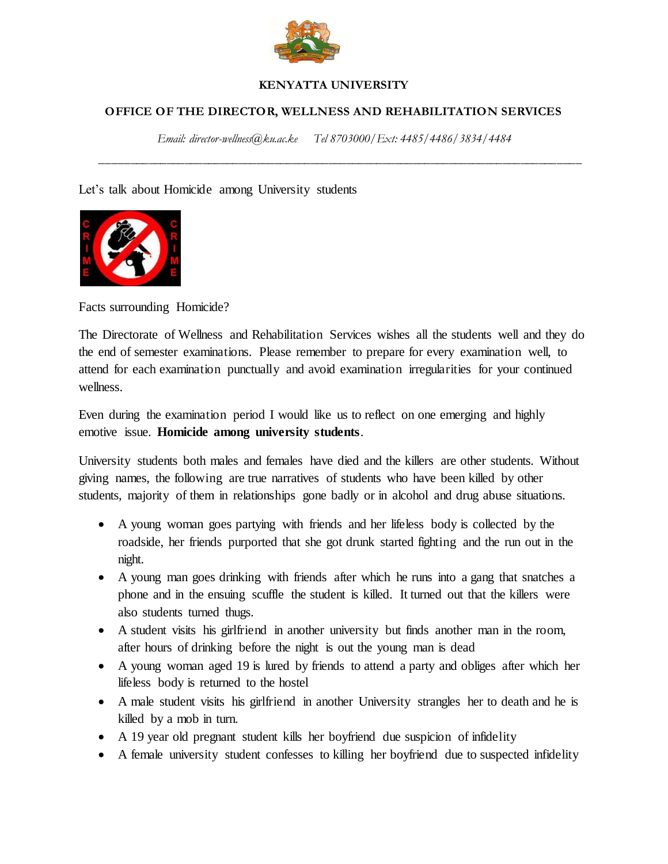

## **KENYATTA UNIVERSITY**

## **OFFICE OF THE DIRECTOR, WELLNESS AND REHABILITATION SERVICES**

*Email: director-wellness@ku.ac.ke Tel 8703000/Ext: 4485/4486/3834/4484*

*\_\_\_\_\_\_\_\_\_\_\_\_\_\_\_\_\_\_\_\_\_\_\_\_\_\_\_\_\_\_\_\_\_\_\_\_\_\_\_\_\_\_\_\_\_\_\_\_\_\_\_\_\_\_\_\_\_\_\_\_\_\_\_\_\_\_\_\_\_\_\_\_\_\_\_\_\_\_\_\_*

Let's talk about Homicide among University students



Facts surrounding Homicide?

The Directorate of Wellness and Rehabilitation Services wishes all the students well and they do the end of semester examinations. Please remember to prepare for every examination well, to attend for each examination punctually and avoid examination irregularities for your continued wellness.

Even during the examination period I would like us to reflect on one emerging and highly emotive issue. **Homicide among university students**.

University students both males and females have died and the killers are other students. Without giving names, the following are true narratives of students who have been killed by other students, majority of them in relationships gone badly or in alcohol and drug abuse situations.

- A young woman goes partying with friends and her lifeless body is collected by the roadside, her friends purported that she got drunk started fighting and the run out in the night.
- A young man goes drinking with friends after which he runs into a gang that snatches a phone and in the ensuing scuffle the student is killed. It turned out that the killers were also students turned thugs.
- A student visits his girlfriend in another university but finds another man in the room, after hours of drinking before the night is out the young man is dead
- A young woman aged 19 is lured by friends to attend a party and obliges after which her lifeless body is returned to the hostel
- A male student visits his girlfriend in another University strangles her to death and he is killed by a mob in turn.
- A 19 year old pregnant student kills her boyfriend due suspicion of infidelity
- A female university student confesses to killing her boyfriend due to suspected infidelity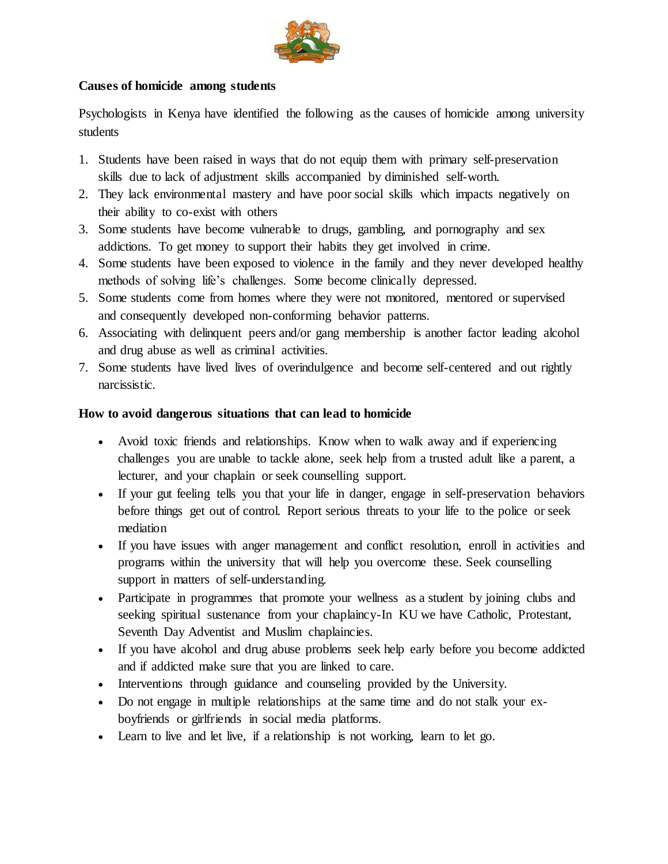

## **Causes of homicide among students**

Psychologists in Kenya have identified the following as the causes of homicide among university students

- 1. Students have been raised in ways that do not equip them with primary self-preservation skills due to lack of adjustment skills accompanied by diminished self-worth.
- 2. They lack environmental mastery and have poor social skills which impacts negatively on their ability to co-exist with others
- 3. Some students have become vulnerable to drugs, gambling, and pornography and sex addictions. To get money to support their habits they get involved in crime.
- 4. Some students have been exposed to violence in the family and they never developed healthy methods of solving life's challenges. Some become clinically depressed.
- 5. Some students come from homes where they were not monitored, mentored or supervised and consequently developed non-conforming behavior patterns.
- 6. Associating with delinquent peers and/or gang membership is another factor leading alcohol and drug abuse as well as criminal activities.
- 7. Some students have lived lives of overindulgence and become self-centered and out rightly narcissistic.

## **How to avoid dangerous situations that can lead to homicide**

- Avoid toxic friends and relationships. Know when to walk away and if experiencing challenges you are unable to tackle alone, seek help from a trusted adult like a parent, a lecturer, and your chaplain or seek counselling support.
- If your gut feeling tells you that your life in danger, engage in self-preservation behaviors before things get out of control. Report serious threats to your life to the police or seek mediation
- If you have issues with anger management and conflict resolution, enroll in activities and programs within the university that will help you overcome these. Seek counselling support in matters of self-understanding.
- Participate in programmes that promote your wellness as a student by joining clubs and seeking spiritual sustenance from your chaplaincy-In KU we have Catholic, Protestant, Seventh Day Adventist and Muslim chaplaincies.
- If you have alcohol and drug abuse problems seek help early before you become addicted and if addicted make sure that you are linked to care.
- Interventions through guidance and counseling provided by the University.
- Do not engage in multiple relationships at the same time and do not stalk your exboyfriends or girlfriends in social media platforms.
- Learn to live and let live, if a relationship is not working, learn to let go.